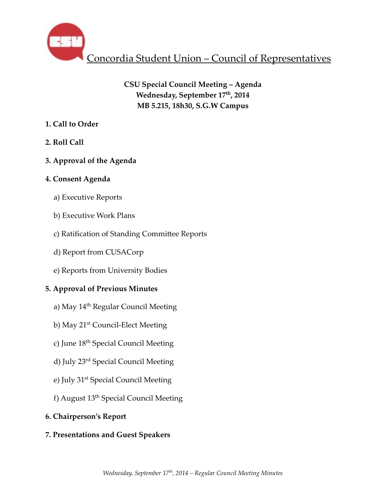

# **CSU Special Council Meeting – Agenda Wednesday, September 17th, 2014 MB 5.215, 18h30, S.G.W Campus**

- **1. Call to Order**
- **2. Roll Call**
- **3. Approval of the Agenda**
- **4. Consent Agenda**
	- a) Executive Reports
	- b) Executive Work Plans
	- c) Ratification of Standing Committee Reports
	- d) Report from CUSACorp
	- e) Reports from University Bodies

# **5. Approval of Previous Minutes**

- a) May 14<sup>th</sup> Regular Council Meeting
- b) May 21st Council-Elect Meeting
- c) June 18<sup>th</sup> Special Council Meeting
- d) July 23rd Special Council Meeting
- e) July 31<sup>st</sup> Special Council Meeting
- f) August 13th Special Council Meeting
- **6. Chairperson's Report**
- **7. Presentations and Guest Speakers**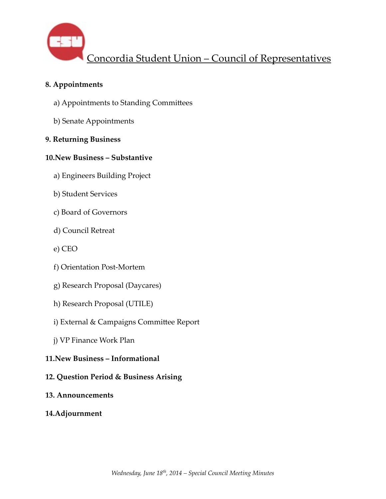

### **8. Appointments**

- a) Appointments to Standing Committees
- b) Senate Appointments

### **9. Returning Business**

### **10.New Business – Substantive**

- a) Engineers Building Project
- b) Student Services
- c) Board of Governors
- d) Council Retreat
- e) CEO
- f) Orientation Post-Mortem
- g) Research Proposal (Daycares)
- h) Research Proposal (UTILE)
- i) External & Campaigns Committee Report
- j) VP Finance Work Plan

## **11.New Business – Informational**

### **12. Question Period & Business Arising**

**13. Announcements**

### **14.Adjournment**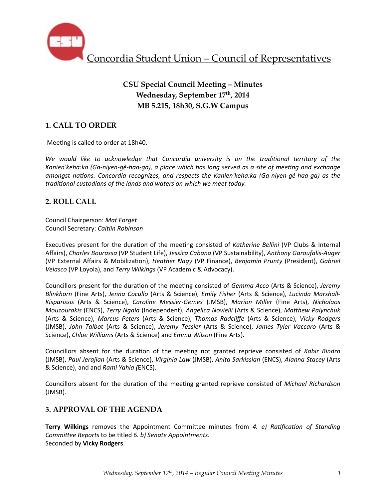

# **CSU Special Council Meeting – Minutes Wednesday, September 17th, 2014 MB 5.215, 18h30, S.G.W Campus**

# **1. CALL TO ORDER**

Meeting is called to order at 18h40.

We would like to acknowledge that Concordia university is on the traditional territory of the Kanien'keha:ka (Ga-niyen-gé-haa-qa), a place which has long served as a site of meeting and exchange *amongst nations. Concordia recognizes, and respects the Kanien'keha:ka (Ga-niyen-gé-haa-ga)* as the traditional custodians of the lands and waters on which we meet today.

### **2. ROLL CALL**

Council Chairperson: *Mat Forget* Council Secretary: *Caitlin Robinson*

Executives present for the duration of the meeting consisted of Katherine Bellini (VP Clubs & Internal Affairs), Charles Bourassa (VP Student Life), *Jessica Cabana* (VP Sustainability), Anthony Garoufalis-Auger (VP External Affairs & Mobilization), *Heather Nagy* (VP Finance), *Benjamin Prunty* (President), *Gabriel Velasco* (VP Loyola), and *Terry Wilkings* (VP Academic & Advocacy).

Councillors present for the duration of the meeting consisted of *Gemma Acco* (Arts & Science), *Jeremy Blinkhorn* (Fine Arts), Jenna Cocullo (Arts & Science), *Emily Fisher* (Arts & Science), *Lucinda Marshall-Kisparissis*  (Arts & Science), *Caroline Messier-Gemes*  (JMSB), *Marion Miller*  (Fine Arts), *Nicholaos Mouzourakis* (ENCS), *Terry Ngala* (Independent), *Angelica Novielli* (Arts & Science), *Matthew Palynchuk* (Arts & Science), *Marcus Peters*  (Arts & Science), *Thomas Radcliffe*  (Arts & Science), *Vicky Rodgers*  (JMSB), *John Talbot*  (Arts & Science), *Jeremy Tessier*  (Arts & Science), *James Tyler Vaccaro*  (Arts & Science), *Chloe Williams* (Arts & Science) and *Emma Wilson* (Fine Arts).

Councillors absent for the duration of the meeting not granted reprieve consisted of Kabir Bindra (JMSB), *Paul Jerajian* (Arts & Science), *Virginia Law* (JMSB), *Anita Sarkissian* (ENCS), *Alanna Stacey* (Arts & Science), and and *Rami Yahia (*ENCS).

Councillors absent for the duration of the meeting granted reprieve consisted of *Michael Richardson* (JMSB).

### **3. APPROVAL OF THE AGENDA**

**Terry Wilkings** removes the Appointment Committee minutes from 4. e) Ratification of Standing *Committee Reports* to be titled 6. b) Senate Appointments. Seconded by **Vicky Rodgers**.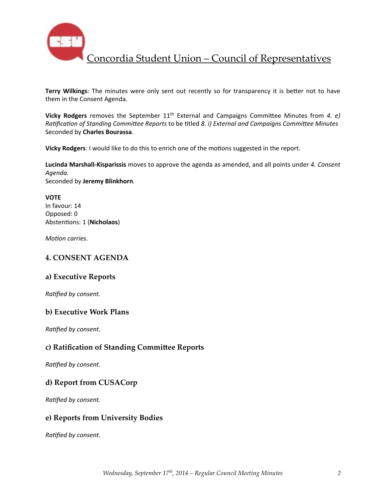

**Terry Wilkings:** The minutes were only sent out recently so for transparency it is better not to have them in the Consent Agenda.

**Vicky Rodgers** removes the September 11<sup>th</sup> External and Campaigns Committee Minutes from 4. e) *Ratification of Standing Committee Reports* to be titled *8. i) External and Campaigns Committee Minutes* Seconded by **Charles Bourassa**.

Vicky Rodgers: I would like to do this to enrich one of the motions suggested in the report.

Lucinda Marshall-Kisparissis moves to approve the agenda as amended, and all points under 4. Consent *Agenda*. Seconded by **Jeremy Blinkhorn**.

**VOTE** In favour: 14 Opposed: 0 Abstentions: 1 (Nicholaos)

*Motion carries.* 

### **4. CONSENT AGENDA**

### **a) Executive Reports**

**Ratified by consent.** 

### **b) Executive Work Plans**

**Ratified by consent.** 

### **c) Ratification of Standing Committee Reports**

**Ratified by consent.** 

### **d) Report from CUSACorp**

**Ratified by consent.** 

### **e) Reports from University Bodies**

**Ratified by consent.**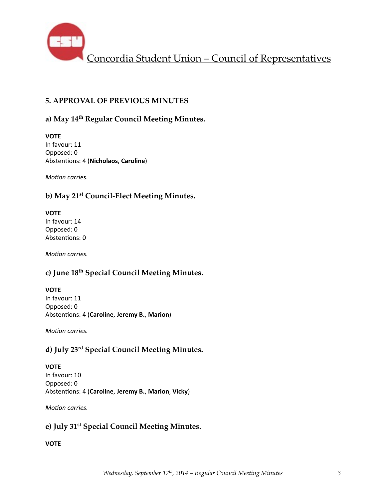

## **5. APPROVAL OF PREVIOUS MINUTES**

### **a) May 14th Regular Council Meeting Minutes.**

**VOTE** In favour: 11 Opposed: 0 Abstentions: 4 (Nicholaos, Caroline)

*Motion carries.* 

# **b) May 21st Council-Elect Meeting Minutes.**

### **VOTE**

In favour: 14 Opposed: 0 Abstentions: 0

*Motion carries.* 

## **c) June 18th Special Council Meeting Minutes.**

### **VOTE**

In favour: 11 Opposed: 0 Abstentions: 4 (Caroline, Jeremy B., Marion)

*Motion carries.* 

## **d) July 23rd Special Council Meeting Minutes.**

### **VOTE**

In favour: 10 Opposed: 0 Abstentions: 4 (Caroline, Jeremy B., Marion, Vicky)

*Motion carries.* 

## **e) July 31st Special Council Meeting Minutes.**

### **VOTE**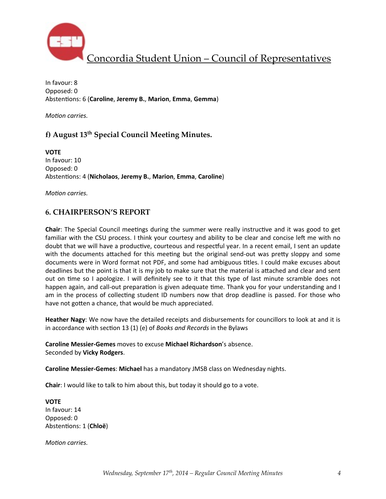

In favour: 8 Opposed: 0 Abstentions: 6 (Caroline, Jeremy B., Marion, Emma, Gemma)

*Motion carries.* 

## **f) August 13th Special Council Meeting Minutes.**

**VOTE** In favour: 10 Opposed: 0 Abstentions: 4 (Nicholaos, Jeremy B., Marion, Emma, Caroline)

*Motion carries.* 

### **6. CHAIRPERSON'S REPORT**

**Chair**: The Special Council meetings during the summer were really instructive and it was good to get familiar with the CSU process. I think your courtesy and ability to be clear and concise left me with no doubt that we will have a productive, courteous and respectful year. In a recent email, I sent an update with the documents attached for this meeting but the original send-out was pretty sloppy and some documents were in Word format not PDF, and some had ambiguous titles. I could make excuses about deadlines but the point is that it is my job to make sure that the material is attached and clear and sent out on time so I apologize. I will definitely see to it that this type of last minute scramble does not happen again, and call-out preparation is given adequate time. Thank you for your understanding and I am in the process of collecting student ID numbers now that drop deadline is passed. For those who have not gotten a chance, that would be much appreciated.

**Heather Nagy:** We now have the detailed receipts and disbursements for councillors to look at and it is in accordance with section 13 (1) (e) of *Books and Records* in the Bylaws

**Caroline Messier-Gemes** moves to excuse **Michael Richardson**'s absence. Seconded by **Vicky Rodgers**.

**Caroline Messier-Gemes: Michael** has a mandatory JMSB class on Wednesday nights.

**Chair:** I would like to talk to him about this, but today it should go to a vote.

**VOTE** In favour: 14 Opposed: 0 Abstentions: 1 (Chloë)

*Motion carries.*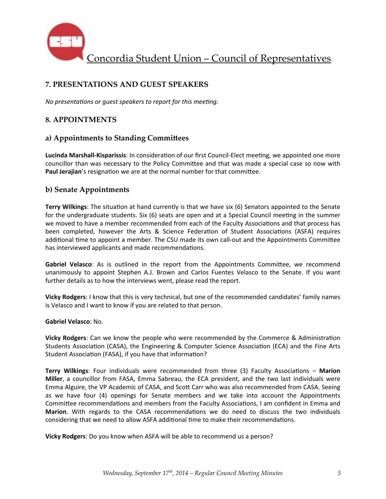

# **7. PRESENTATIONS AND GUEST SPEAKERS**

*No presentations or quest speakers to report for this meeting.* 

### **8. APPOINTMENTS**

### **a) Appointments to Standing Committees**

Lucinda Marshall-Kisparissis: In consideration of our first Council-Elect meeting, we appointed one more councillor than was necessary to the Policy Committee and that was made a special case so now with Paul Jerajian's resignation we are at the normal number for that committee.

### **b) Senate Appointments**

**Terry Wilkings:** The situation at hand currently is that we have six (6) Senators appointed to the Senate for the undergraduate students. Six (6) seats are open and at a Special Council meeting in the summer we moved to have a member recommended from each of the Faculty Associations and that process has been completed, however the Arts & Science Federation of Student Associations (ASFA) requires additional time to appoint a member. The CSU made its own call-out and the Appointments Committee has interviewed applicants and made recommendations.

Gabriel Velasco: As is outlined in the report from the Appointments Committee, we recommend unanimously to appoint Stephen A.J. Brown and Carlos Fuentes Velasco to the Senate. If you want further details as to how the interviews went, please read the report.

**Vicky Rodgers**: I know that this is very technical, but one of the recommended candidates' family names is Velasco and I want to know if you are related to that person.

#### **Gabriel Velasco**: No.

**Vicky Rodgers**: Can we know the people who were recommended by the Commerce & Administration Students Association (CASA), the Engineering & Computer Science Association (ECA) and the Fine Arts Student Association (FASA), if you have that information?

**Terry Wilkings:** Four individuals were recommended from three (3) Faculty Associations – Marion **Miller**, a councillor from FASA, Emma Sabreau, the ECA president, and the two last individuals were Emma Alguire, the VP Academic of CASA, and Scott Carr who was also recommended from CASA. Seeing as we have four (4) openings for Senate members and we take into account the Appointments Committee recommendations and members from the Faculty Associations, I am confident in Emma and Marion. With regards to the CASA recommendations we do need to discuss the two individuals considering that we need to allow ASFA additional time to make their recommendations.

**Vicky Rodgers**: Do you know when ASFA will be able to recommend us a person?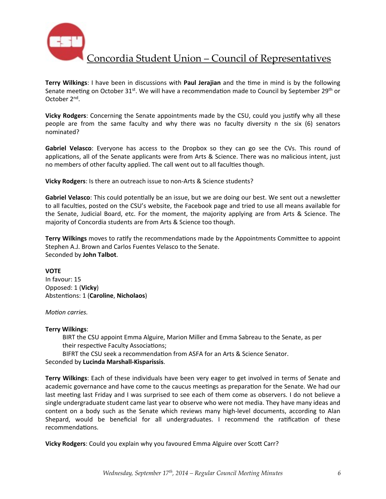

**Terry Wilkings:** I have been in discussions with **Paul Jerajian** and the time in mind is by the following Senate meeting on October  $31^{st}$ . We will have a recommendation made to Council by September 29<sup>th</sup> or October 2<sup>nd</sup>.

**Vicky Rodgers**: Concerning the Senate appointments made by the CSU, could you justify why all these people are from the same faculty and why there was no faculty diversity n the six (6) senators nominated?

**Gabriel Velasco**: Everyone has access to the Dropbox so they can go see the CVs. This round of applications, all of the Senate applicants were from Arts & Science. There was no malicious intent, just no members of other faculty applied. The call went out to all faculties though.

**Vicky Rodgers:** Is there an outreach issue to non-Arts & Science students?

Gabriel Velasco: This could potentially be an issue, but we are doing our best. We sent out a newsletter to all faculties, posted on the CSU's website, the Facebook page and tried to use all means available for the Senate, Judicial Board, etc. For the moment, the majority applying are from Arts & Science. The majority of Concordia students are from Arts & Science too though.

**Terry Wilkings** moves to ratify the recommendations made by the Appointments Committee to appoint Stephen A.J. Brown and Carlos Fuentes Velasco to the Senate. Seconded by **John Talbot**.

**VOTE** In favour: 15 Opposed: 1 (**Vicky**) Abstentions: 1 (Caroline, Nicholaos)

*Motion carries.* 

#### **Terry Wilkings**:

BIRT the CSU appoint Emma Alguire, Marion Miller and Emma Sabreau to the Senate, as per their respective Faculty Associations;

BIFRT the CSU seek a recommendation from ASFA for an Arts & Science Senator.

#### Seconded by **Lucinda Marshall-Kisparissis**.

**Terry Wilkings**: Each of these individuals have been very eager to get involved in terms of Senate and academic governance and have come to the caucus meetings as preparation for the Senate. We had our last meeting last Friday and I was surprised to see each of them come as observers. I do not believe a single undergraduate student came last year to observe who were not media. They have many ideas and content on a body such as the Senate which reviews many high-level documents, according to Alan Shepard, would be beneficial for all undergraduates. I recommend the ratification of these recommendations.

**Vicky Rodgers:** Could you explain why you favoured Emma Alguire over Scott Carr?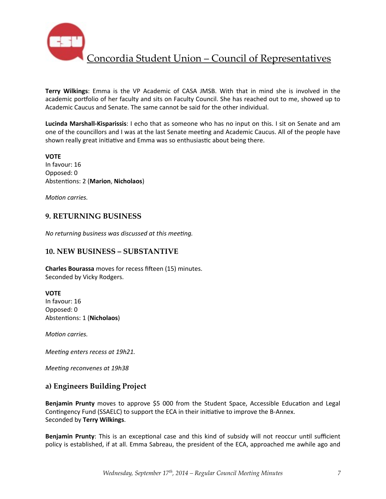

**Terry Wilkings:** Emma is the VP Academic of CASA JMSB. With that in mind she is involved in the academic portfolio of her faculty and sits on Faculty Council. She has reached out to me, showed up to Academic Caucus and Senate. The same cannot be said for the other individual.

**Lucinda Marshall-Kisparissis**: I echo that as someone who has no input on this. I sit on Senate and am one of the councillors and I was at the last Senate meeting and Academic Caucus. All of the people have shown really great initiative and Emma was so enthusiastic about being there.

**VOTE** In favour: 16 Opposed: 0 Abstentions: 2 (Marion, Nicholaos)

*Motion carries.* 

### **9. RETURNING BUSINESS**

*No returning business was discussed at this meeting.* 

### **10. NEW BUSINESS – SUBSTANTIVE**

**Charles Bourassa** moves for recess fifteen (15) minutes. Seconded by Vicky Rodgers.

#### **VOTE**

In favour: 16 Opposed: 0 Abstentions: 1 (Nicholaos)

*Motion carries.* 

*Meeting enters recess at 19h21.* 

*Meeting reconvenes at 19h38* 

### **a) Engineers Building Project**

**Benjamin Prunty** moves to approve \$5 000 from the Student Space, Accessible Education and Legal Contingency Fund (SSAELC) to support the ECA in their initiative to improve the B-Annex. Seconded by **Terry Wilkings**.

**Benjamin Prunty**: This is an exceptional case and this kind of subsidy will not reoccur until sufficient policy is established, if at all. Emma Sabreau, the president of the ECA, approached me awhile ago and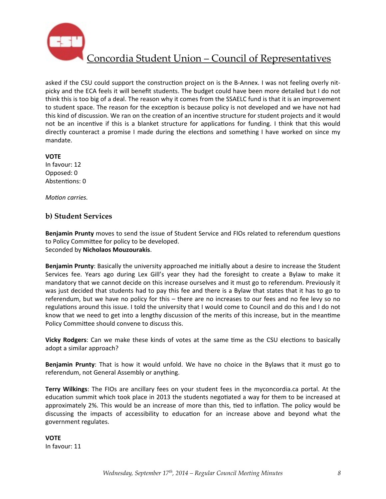

asked if the CSU could support the construction project on is the B-Annex. I was not feeling overly nitpicky and the ECA feels it will benefit students. The budget could have been more detailed but I do not think this is too big of a deal. The reason why it comes from the SSAELC fund is that it is an improvement to student space. The reason for the exception is because policy is not developed and we have not had this kind of discussion. We ran on the creation of an incentive structure for student projects and it would not be an incentive if this is a blanket structure for applications for funding. I think that this would directly counteract a promise I made during the elections and something I have worked on since my mandate. 

**VOTE**

In favour: 12 Opposed: 0 Abstentions: 0

*Motion carries.* 

### **b) Student Services**

**Benjamin Prunty** moves to send the issue of Student Service and FIOs related to referendum questions to Policy Committee for policy to be developed. Seconded by **Nicholaos Mouzourakis**.

**Benjamin Prunty**: Basically the university approached me initially about a desire to increase the Student Services fee. Years ago during Lex Gill's year they had the foresight to create a Bylaw to make it mandatory that we cannot decide on this increase ourselves and it must go to referendum. Previously it was just decided that students had to pay this fee and there is a Bylaw that states that it has to go to referendum, but we have no policy for this – there are no increases to our fees and no fee levy so no regulations around this issue. I told the university that I would come to Council and do this and I do not know that we need to get into a lengthy discussion of the merits of this increase, but in the meantime Policy Committee should convene to discuss this.

Vicky Rodgers: Can we make these kinds of votes at the same time as the CSU elections to basically adopt a similar approach?

**Benjamin Prunty**: That is how it would unfold. We have no choice in the Bylaws that it must go to referendum, not General Assembly or anything.

**Terry Wilkings**: The FIOs are ancillary fees on your student fees in the myconcordia.ca portal. At the education summit which took place in 2013 the students negotiated a way for them to be increased at approximately 2%. This would be an increase of more than this, tied to inflation. The policy would be discussing the impacts of accessibility to education for an increase above and beyond what the government regulates.

**VOTE** In favour: 11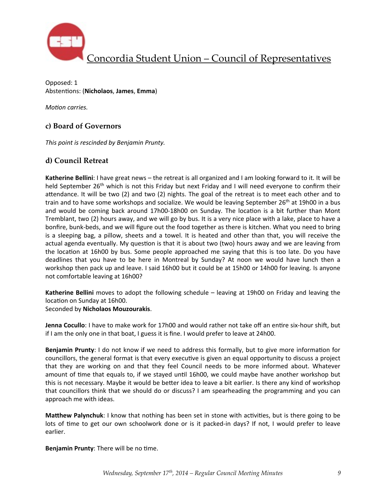

Opposed: 1 Abstentions: (Nicholaos, James, Emma)

*Motion carries.* 

## **c) Board of Governors**

This point is rescinded by Benjamin Prunty.

### **d) Council Retreat**

**Katherine Bellini**: I have great news – the retreat is all organized and I am looking forward to it. It will be held September  $26<sup>th</sup>$  which is not this Friday but next Friday and I will need everyone to confirm their attendance. It will be two  $(2)$  and two  $(2)$  nights. The goal of the retreat is to meet each other and to train and to have some workshops and socialize. We would be leaving September  $26^{th}$  at 19h00 in a bus and would be coming back around 17h00-18h00 on Sunday. The location is a bit further than Mont Tremblant, two (2) hours away, and we will go by bus. It is a very nice place with a lake, place to have a bonfire, bunk-beds, and we will figure out the food together as there is kitchen. What you need to bring is a sleeping bag, a pillow, sheets and a towel. It is heated and other than that, you will receive the actual agenda eventually. My question is that it is about two (two) hours away and we are leaving from the location at 16h00 by bus. Some people approached me saying that this is too late. Do you have deadlines that you have to be here in Montreal by Sunday? At noon we would have lunch then a workshop then pack up and leave. I said 16h00 but it could be at 15h00 or 14h00 for leaving. Is anyone not comfortable leaving at 16h00?

**Katherine Bellini** moves to adopt the following schedule – leaving at 19h00 on Friday and leaving the location on Sunday at 16h00.

Seconded by **Nicholaos Mouzourakis**.

**Jenna Cocullo**: I have to make work for 17h00 and would rather not take off an entire six-hour shift, but if I am the only one in that boat, I guess it is fine. I would prefer to leave at 24h00.

**Benjamin Prunty**: I do not know if we need to address this formally, but to give more information for councillors, the general format is that every executive is given an equal opportunity to discuss a project that they are working on and that they feel Council needs to be more informed about. Whatever amount of time that equals to, if we stayed until 16h00, we could maybe have another workshop but this is not necessary. Maybe it would be better idea to leave a bit earlier. Is there any kind of workshop that councillors think that we should do or discuss? I am spearheading the programming and you can approach me with ideas.

**Matthew Palynchuk**: I know that nothing has been set in stone with activities, but is there going to be lots of time to get our own schoolwork done or is it packed-in days? If not, I would prefer to leave earlier.

**Benjamin Prunty:** There will be no time.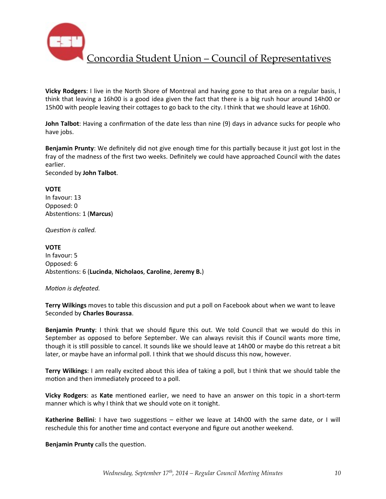

**Vicky Rodgers**: I live in the North Shore of Montreal and having gone to that area on a regular basis, I think that leaving a 16h00 is a good idea given the fact that there is a big rush hour around 14h00 or 15h00 with people leaving their cottages to go back to the city. I think that we should leave at 16h00.

**John Talbot**: Having a confirmation of the date less than nine (9) days in advance sucks for people who have jobs.

**Benjamin Prunty**: We definitely did not give enough time for this partially because it just got lost in the fray of the madness of the first two weeks. Definitely we could have approached Council with the dates earlier. 

Seconded by **John Talbot**.

#### **VOTE**

In favour: 13 Opposed: 0 Abstentions: 1 (Marcus)

**Question** is called.

### **VOTE**

In favour: 5 Opposed: 6 Abstentions: 6 (Lucinda, Nicholaos, Caroline, Jeremy B.)

#### *Motion is defeated.*

**Terry Wilkings** moves to table this discussion and put a poll on Facebook about when we want to leave Seconded by **Charles Bourassa**.

**Benjamin Prunty**: I think that we should figure this out. We told Council that we would do this in September as opposed to before September. We can always revisit this if Council wants more time, though it is still possible to cancel. It sounds like we should leave at 14h00 or maybe do this retreat a bit later, or maybe have an informal poll. I think that we should discuss this now, however.

**Terry Wilkings**: I am really excited about this idea of taking a poll, but I think that we should table the motion and then immediately proceed to a poll.

**Vicky Rodgers:** as Kate mentioned earlier, we need to have an answer on this topic in a short-term manner which is why I think that we should vote on it tonight.

**Katherine Bellini**: I have two suggestions – either we leave at 14h00 with the same date, or I will reschedule this for another time and contact everyone and figure out another weekend.

**Benjamin Prunty** calls the question.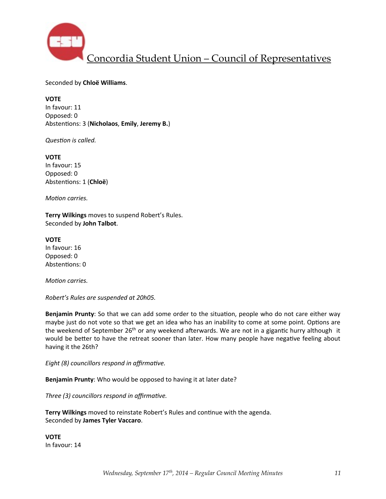

Seconded by **Chloë Williams**.

**VOTE** In favour: 11 Opposed: 0 Abstentions: 3 (Nicholaos, Emily, Jeremy B.)

*Question is called.* 

**VOTE** In favour: 15 Opposed: 0 Abstentions: 1 (Chloë)

*Motion carries.* 

**Terry Wilkings** moves to suspend Robert's Rules. Seconded by **John Talbot**.

**VOTE** In favour: 16 Opposed: 0 Abstentions: 0

*Motion carries.* 

*Robert's Rules are suspended at 20h05.*

**Benjamin Prunty**: So that we can add some order to the situation, people who do not care either way maybe just do not vote so that we get an idea who has an inability to come at some point. Options are the weekend of September  $26<sup>th</sup>$  or any weekend afterwards. We are not in a gigantic hurry although it would be better to have the retreat sooner than later. How many people have negative feeling about having it the 26th?

*Eight* (8) councillors respond in affirmative.

**Benjamin Prunty**: Who would be opposed to having it at later date?

*Three* (3) councillors respond in affirmative.

**Terry Wilkings** moved to reinstate Robert's Rules and continue with the agenda. Seconded by **James Tyler Vaccaro**.

**VOTE** In favour: 14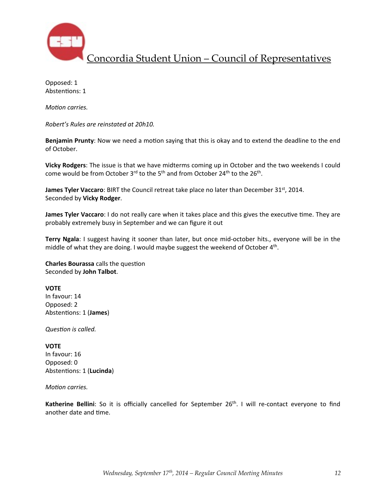

Opposed: 1 Abstentions: 1

*Motion carries.* 

*Robert's Rules are reinstated at 20h10.* 

**Benjamin Prunty**: Now we need a motion saying that this is okay and to extend the deadline to the end of October.

**Vicky Rodgers**: The issue is that we have midterms coming up in October and the two weekends I could come would be from October  $3^{\text{rd}}$  to the  $5^{\text{th}}$  and from October 24<sup>th</sup> to the 26<sup>th</sup>.

**James Tyler Vaccaro**: BIRT the Council retreat take place no later than December 31<sup>st</sup>, 2014. Seconded by **Vicky Rodger**.

**James Tyler Vaccaro**: I do not really care when it takes place and this gives the executive time. They are probably extremely busy in September and we can figure it out

**Terry Ngala**: I suggest having it sooner than later, but once mid-october hits., everyone will be in the middle of what they are doing. I would maybe suggest the weekend of October  $4<sup>th</sup>$ .

**Charles Bourassa** calls the question Seconded by **John Talbot**.

#### **VOTE**

In favour: 14 Opposed: 2 Abstentions: 1 (James)

**Question** is called.

#### **VOTE**

In favour: 16 Opposed: 0 Abstentions: 1 (**Lucinda**)

#### *Motion carries.*

**Katherine Bellini**: So it is officially cancelled for September 26<sup>th</sup>. I will re-contact everyone to find another date and time.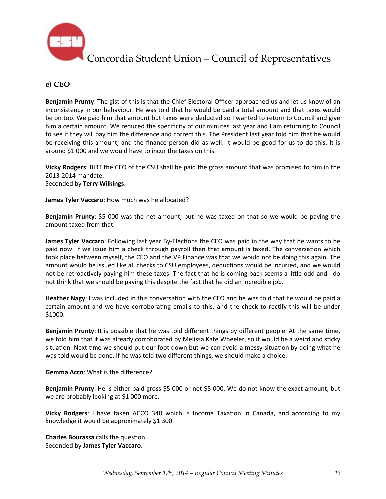

### **e) CEO**

**Benjamin Prunty**: The gist of this is that the Chief Electoral Officer approached us and let us know of an inconsistency in our behaviour. He was told that he would be paid a total amount and that taxes would be on top. We paid him that amount but taxes were deducted so I wanted to return to Council and give him a certain amount. We reduced the specificity of our minutes last year and I am returning to Council to see if they will pay him the difference and correct this. The President last year told him that he would be receiving this amount, and the finance person did as well. It would be good for us to do this. It is around \$1 000 and we would have to incur the taxes on this.

Vicky Rodgers: BIRT the CEO of the CSU shall be paid the gross amount that was promised to him in the 2013-2014 mandate. Seconded by **Terry Wilkings**.

**James Tyler Vaccaro:** How much was he allocated?

**Benjamin Prunty**: \$5 000 was the net amount, but he was taxed on that so we would be paying the amount taxed from that.

**James Tyler Vaccaro**: Following last year By-Elections the CEO was paid in the way that he wants to be paid now. If we issue him a check through payroll then that amount is taxed. The conversation which took place between myself, the CEO and the VP Finance was that we would not be doing this again. The amount would be issued like all checks to CSU employees, deductions would be incurred, and we would not be retroactively paying him these taxes. The fact that he is coming back seems a little odd and I do not think that we should be paying this despite the fact that he did an incredible job.

**Heather Nagy**: I was included in this conversation with the CEO and he was told that he would be paid a certain amount and we have corroborating emails to this, and the check to rectify this will be under \$1000. 

**Benjamin Prunty**: It is possible that he was told different things by different people. At the same time, we told him that it was already corroborated by Melissa Kate Wheeler, so it would be a weird and sticky situation. Next time we should put our foot down but we can avoid a messy situation by doing what he was told would be done. If he was told two different things, we should make a choice.

**Gemma Acco:** What is the difference?

**Benjamin Prunty**: He is either paid gross \$5 000 or net \$5 000. We do not know the exact amount, but we are probably looking at \$1 000 more.

**Vicky Rodgers**: I have taken ACCO 340 which is Income Taxation in Canada, and according to my knowledge it would be approximately \$1 300.

**Charles Bourassa** calls the question. Seconded by **James Tyler Vaccaro**.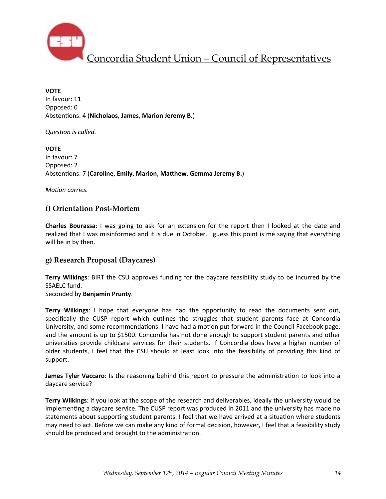

**VOTE** In favour: 11 Opposed: 0 Abstentions: 4 (Nicholaos, James, Marion Jeremy B.)

**Question** is called.

**VOTE** In favour: 7 Opposed: 2 Abstentions: 7 (Caroline, Emily, Marion, Matthew, Gemma Jeremy B.)

*Motion carries.* 

### **f) Orientation Post-Mortem**

**Charles Bourassa**: I was going to ask for an extension for the report then I looked at the date and realized that I was misinformed and it is due in October. I guess this point is me saying that everything will be in by then.

### **g) Research Proposal (Daycares)**

**Terry Wilkings**: BIRT the CSU approves funding for the daycare feasibility study to be incurred by the SSAELC fund.

Seconded by **Benjamin Prunty**.

**Terry Wilkings:** I hope that everyone has had the opportunity to read the documents sent out, specifically the CUSP report which outlines the struggles that student parents face at Concordia University, and some recommendations. I have had a motion put forward in the Council Facebook page. and the amount is up to \$1500. Concordia has not done enough to support student parents and other universities provide childcare services for their students. If Concordia does have a higher number of older students, I feel that the CSU should at least look into the feasibility of providing this kind of support.

**James Tyler Vaccaro**: Is the reasoning behind this report to pressure the administration to look into a daycare service?

**Terry Wilkings**: If you look at the scope of the research and deliverables, ideally the university would be implementing a daycare service. The CUSP report was produced in 2011 and the university has made no statements about supporting student parents. I feel that we have arrived at a situation where students may need to act. Before we can make any kind of formal decision, however, I feel that a feasibility study should be produced and brought to the administration.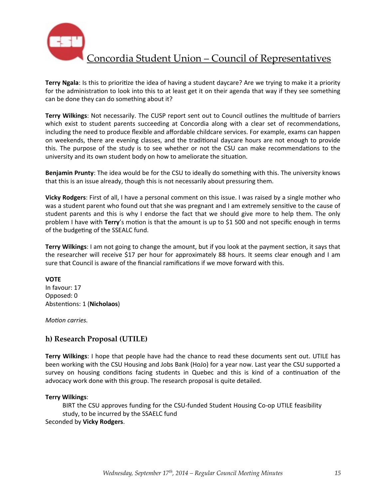

**Terry Ngala**: Is this to prioritize the idea of having a student daycare? Are we trying to make it a priority for the administration to look into this to at least get it on their agenda that way if they see something can be done they can do something about it?

**Terry Wilkings:** Not necessarily. The CUSP report sent out to Council outlines the multitude of barriers which exist to student parents succeeding at Concordia along with a clear set of recommendations, including the need to produce flexible and affordable childcare services. For example, exams can happen on weekends, there are evening classes, and the traditional daycare hours are not enough to provide this. The purpose of the study is to see whether or not the CSU can make recommendations to the university and its own student body on how to ameliorate the situation.

**Benjamin Prunty**: The idea would be for the CSU to ideally do something with this. The university knows that this is an issue already, though this is not necessarily about pressuring them.

**Vicky Rodgers**: First of all, I have a personal comment on this issue. I was raised by a single mother who was a student parent who found out that she was pregnant and I am extremely sensitive to the cause of student parents and this is why I endorse the fact that we should give more to help them. The only problem I have with **Terry'**s motion is that the amount is up to \$1 500 and not specific enough in terms of the budgeting of the SSEALC fund.

**Terry Wilkings**: I am not going to change the amount, but if you look at the payment section, it says that the researcher will receive \$17 per hour for approximately 88 hours. It seems clear enough and I am sure that Council is aware of the financial ramifications if we move forward with this.

#### **VOTE**

In favour: 17 Opposed: 0 Abstentions: 1 (Nicholaos)

*Motion carries.* 

### **h) Research Proposal (UTILE)**

Terry Wilkings: I hope that people have had the chance to read these documents sent out. UTILE has been working with the CSU Housing and Jobs Bank (HoJo) for a year now. Last year the CSU supported a survey on housing conditions facing students in Quebec and this is kind of a continuation of the advocacy work done with this group. The research proposal is quite detailed.

#### **Terry Wilkings**:

BIRT the CSU approves funding for the CSU-funded Student Housing Co-op UTILE feasibility study, to be incurred by the SSAELC fund Seconded by **Vicky Rodgers**.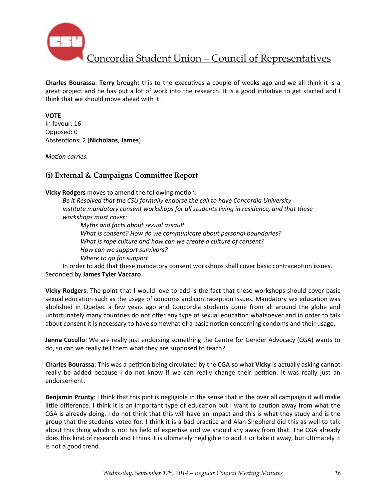

**Charles Bourassa: Terry** brought this to the executives a couple of weeks ago and we all think it is a great project and he has put a lot of work into the research. It is a good initiative to get started and I think that we should move ahead with it.

### **VOTE**

In favour: 16 Opposed: 0 Abstentions: 2 (**Nicholaos**, **James**)

*Motion carries.* 

## **(i) External & Campaigns Committee Report**

**Vicky Rodgers** moves to amend the following motion:

Be it Resolved that the CSU formally endorse the call to have Concordia University *institute mandatory consent workshops for all students living in residence, and that these workshops must cover:*

*Myths and facts about sexual assault.* What is consent? How do we communicate about personal boundaries? What is rape culture and how can we create a culture of consent? *How can we support survivors? Where to go for support*

In order to add that these mandatory consent workshops shall cover basic contraception issues. Seconded by **James Tyler Vaccaro**.

**Vicky Rodgers:** The point that I would love to add is the fact that these workshops should cover basic sexual education such as the usage of condoms and contraception issues. Mandatory sex education was abolished in Quebec a few years ago and Concordia students come from all around the globe and unfortunately many countries do not offer any type of sexual education whatsoever and in order to talk about consent it is necessary to have somewhat of a basic notion concerning condoms and their usage.

**Jenna Cocullo**: We are really just endorsing something the Centre for Gender Advocacy (CGA) wants to do, so can we really tell them what they are supposed to teach?

**Charles Bourassa**: This was a petition being circulated by the CGA so what Vicky is actually asking cannot really be added because I do not know if we can really change their petition. It was really just an endorsement.

**Benjamin Prunty**: I think that this pint is negligible in the sense that in the over all campaign it will make little difference. I think it is an important type of education but I want to caution away from what the CGA is already doing. I do not think that this will have an impact and this is what they study and is the group that the students voted for. I think it is a bad practice and Alan Shepherd did this as well to talk about this thing which is not his field of expertise and we should shy away from that. The CGA already does this kind of research and I think it is ultimately negligible to add it or take it away, but ultimately it is not a good trend.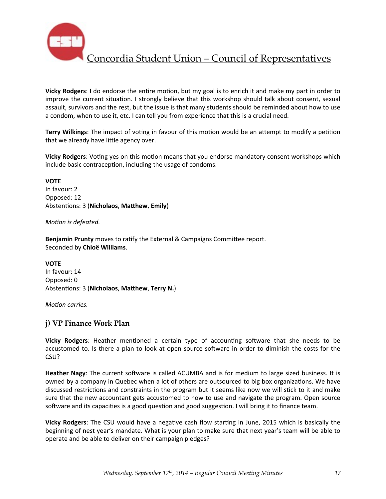

**Vicky Rodgers:** I do endorse the entire motion, but my goal is to enrich it and make my part in order to improve the current situation. I strongly believe that this workshop should talk about consent, sexual assault, survivors and the rest, but the issue is that many students should be reminded about how to use a condom, when to use it, etc. I can tell you from experience that this is a crucial need.

**Terry Wilkings**: The impact of voting in favour of this motion would be an attempt to modify a petition that we already have little agency over.

**Vicky Rodgers:** Voting yes on this motion means that you endorse mandatory consent workshops which include basic contraception, including the usage of condoms.

**VOTE** In favour: 2 Opposed: 12 Abstentions: 3 (Nicholaos, Matthew, Emily)

*Motion is defeated.* 

**Benjamin Prunty** moves to ratify the External & Campaigns Committee report. Seconded by **Chloë Williams**.

**VOTE** In favour: 14 Opposed: 0 Abstentions: 3 (Nicholaos, Matthew, Terry N.)

*Motion carries.* 

### **j) VP Finance Work Plan**

**Vicky Rodgers:** Heather mentioned a certain type of accounting software that she needs to be accustomed to. Is there a plan to look at open source software in order to diminish the costs for the CSU?

Heather Nagy: The current software is called ACUMBA and is for medium to large sized business. It is owned by a company in Quebec when a lot of others are outsourced to big box organizations. We have discussed restrictions and constraints in the program but it seems like now we will stick to it and make sure that the new accountant gets accustomed to how to use and navigate the program. Open source software and its capacities is a good question and good suggestion. I will bring it to finance team.

**Vicky Rodgers**: The CSU would have a negative cash flow starting in June, 2015 which is basically the beginning of nest year's mandate. What is your plan to make sure that next year's team will be able to operate and be able to deliver on their campaign pledges?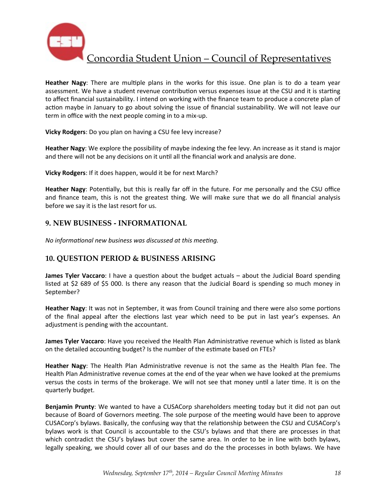

**Heather Nagy**: There are multiple plans in the works for this issue. One plan is to do a team year assessment. We have a student revenue contribution versus expenses issue at the CSU and it is starting to affect financial sustainability. I intend on working with the finance team to produce a concrete plan of action maybe in January to go about solving the issue of financial sustainability. We will not leave our term in office with the next people coming in to a mix-up.

**Vicky Rodgers**: Do you plan on having a CSU fee levy increase?

**Heather Nagy**: We explore the possibility of maybe indexing the fee levy. An increase as it stand is major and there will not be any decisions on it until all the financial work and analysis are done.

**Vicky Rodgers:** If it does happen, would it be for next March?

**Heather Nagy**: Potentially, but this is really far off in the future. For me personally and the CSU office and finance team, this is not the greatest thing. We will make sure that we do all financial analysis before we say it is the last resort for us.

### **9. NEW BUSINESS - INFORMATIONAL**

*No informational new business was discussed at this meeting.* 

### **10. QUESTION PERIOD & BUSINESS ARISING**

**James Tyler Vaccaro**: I have a question about the budget actuals – about the Judicial Board spending listed at \$2 689 of \$5 000. Is there any reason that the Judicial Board is spending so much money in September?

**Heather Nagy**: It was not in September, it was from Council training and there were also some portions of the final appeal after the elections last year which need to be put in last year's expenses. An adjustment is pending with the accountant.

**James Tyler Vaccaro**: Have you received the Health Plan Administrative revenue which is listed as blank on the detailed accounting budget? Is the number of the estimate based on FTEs?

**Heather Nagy**: The Health Plan Administrative revenue is not the same as the Health Plan fee. The Health Plan Administrative revenue comes at the end of the year when we have looked at the premiums versus the costs in terms of the brokerage. We will not see that money until a later time. It is on the quarterly budget.

**Benjamin Prunty**: We wanted to have a CUSACorp shareholders meeting today but it did not pan out because of Board of Governors meeting. The sole purpose of the meeting would have been to approve CUSACorp's bylaws. Basically, the confusing way that the relationship between the CSU and CUSACorp's bylaws work is that Council is accountable to the CSU's bylaws and that there are processes in that which contradict the CSU's bylaws but cover the same area. In order to be in line with both bylaws, legally speaking, we should cover all of our bases and do the the processes in both bylaws. We have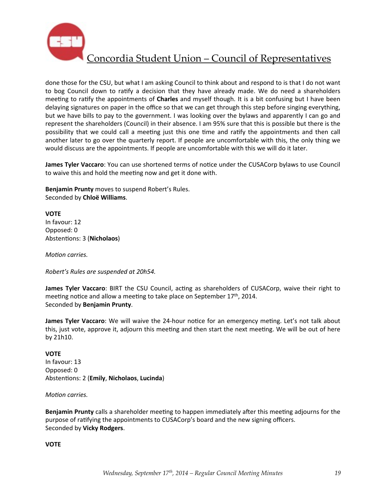

done those for the CSU, but what I am asking Council to think about and respond to is that I do not want to bog Council down to ratify a decision that they have already made. We do need a shareholders meeting to ratify the appointments of **Charles** and myself though. It is a bit confusing but I have been delaying signatures on paper in the office so that we can get through this step before singing everything, but we have bills to pay to the government. I was looking over the bylaws and apparently I can go and represent the shareholders (Council) in their absence. I am 95% sure that this is possible but there is the possibility that we could call a meeting just this one time and ratify the appointments and then call another later to go over the quarterly report. If people are uncomfortable with this, the only thing we would discuss are the appointments. If people are uncomfortable with this we will do it later.

**James Tyler Vaccaro**: You can use shortened terms of notice under the CUSACorp bylaws to use Council to waive this and hold the meeting now and get it done with.

**Benjamin Prunty** moves to suspend Robert's Rules. Seconded by **Chloë Williams**.

**VOTE** In favour: 12 Opposed: 0 Abstentions: 3 (Nicholaos)

*Motion carries.* 

*Robert's Rules are suspended at 20h54.* 

**James Tyler Vaccaro**: BIRT the CSU Council, acting as shareholders of CUSACorp, waive their right to meeting notice and allow a meeting to take place on September  $17<sup>th</sup>$ , 2014. Seconded by **Benjamin Prunty**.

**James Tyler Vaccaro**: We will waive the 24-hour notice for an emergency meting. Let's not talk about this, just vote, approve it, adjourn this meeting and then start the next meeting. We will be out of here by 21h10.

### **VOTE** In favour: 13 Opposed: 0 Abstentions: 2 (**Emily**, **Nicholaos**, **Lucinda**)

### *Motion carries.*

**Benjamin Prunty** calls a shareholder meeting to happen immediately after this meeting adjourns for the purpose of ratifying the appointments to CUSACorp's board and the new signing officers. Seconded by **Vicky Rodgers**.

**VOTE**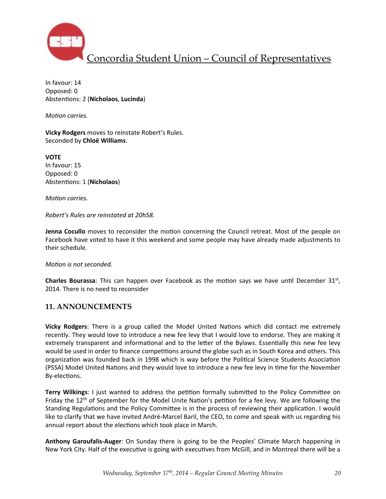

In favour: 14 Opposed: 0 Abstentions: 2 (**Nicholaos**, **Lucinda**)

*Motion carries.* 

**Vicky Rodgers** moves to reinstate Robert's Rules. Seconded by **Chloë Williams**.

**VOTE** In favour: 15 Opposed: 0 Abstentions: 1 (Nicholaos)

*Motion carries.* 

*Robert's Rules are reinstated at 20h58.*

**Jenna Cocullo** moves to reconsider the motion concerning the Council retreat. Most of the people on Facebook have voted to have it this weekend and some people may have already made adjustments to their schedule.

*Motion is not seconded.* 

**Charles Bourassa**: This can happen over Facebook as the motion says we have until December 31st, 2014. There is no need to reconsider

### **11. ANNOUNCEMENTS**

**Vicky Rodgers**: There is a group called the Model United Nations which did contact me extremely recently. They would love to introduce a new fee levy that I would love to endorse. They are making it extremely transparent and informational and to the letter of the Bylaws. Essentially this new fee levy would be used in order to finance competitions around the globe such as in South Korea and others. This organization was founded back in 1998 which is way before the Political Science Students Association (PSSA) Model United Nations and they would love to introduce a new fee levy in time for the November By-elections.

**Terry Wilkings**: I just wanted to address the petition formally submitted to the Policy Committee on Friday the  $12<sup>th</sup>$  of September for the Model Unite Nation's petition for a fee levy. We are following the Standing Regulations and the Policy Committee is in the process of reviewing their application. I would like to clarify that we have invited André-Marcel Baril, the CEO, to come and speak with us regarding his annual report about the elections which took place in March.

Anthony Garoufalis-Auger: On Sunday there is going to be the Peoples' Climate March happening in New York City. Half of the executive is going with executives from McGill, and in Montreal there will be a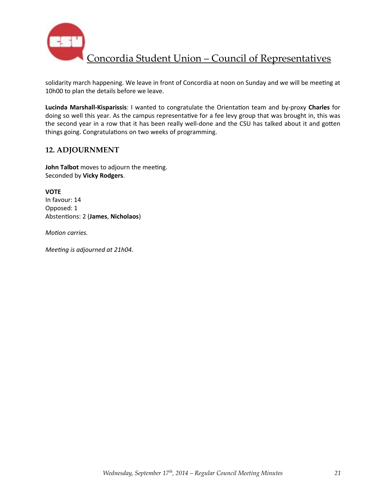

solidarity march happening. We leave in front of Concordia at noon on Sunday and we will be meeting at 10h00 to plan the details before we leave.

Lucinda Marshall-Kisparissis: I wanted to congratulate the Orientation team and by-proxy Charles for doing so well this year. As the campus representative for a fee levy group that was brought in, this was the second year in a row that it has been really well-done and the CSU has talked about it and gotten things going. Congratulations on two weeks of programming.

### **12. ADJOURNMENT**

**John Talbot** moves to adjourn the meeting. Seconded by **Vicky Rodgers**.

**VOTE** In favour: 14 Opposed: 1 Abstentions: 2 (James, Nicholaos)

*Motion carries.* 

*Meeting is adjourned at 21h04.*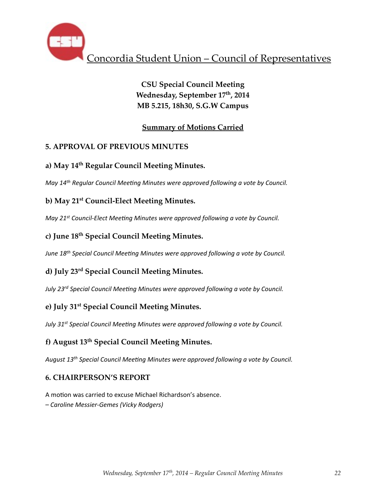

**CSU Special Council Meeting Wednesday, September 17th, 2014 MB 5.215, 18h30, S.G.W Campus**

# **Summary of Motions Carried**

# **5. APPROVAL OF PREVIOUS MINUTES**

# **a) May 14th Regular Council Meeting Minutes.**

*May* 14<sup>th</sup> Regular Council Meeting Minutes were approved following a vote by Council.

# **b) May 21st Council-Elect Meeting Minutes.**

*May* 21<sup>st</sup> Council-Elect Meeting Minutes were approved following a vote by Council.

## **c) June 18th Special Council Meeting Minutes.**

*June 18<sup>th</sup> Special Council Meeting Minutes were approved following a vote by Council.* 

# **d) July 23rd Special Council Meeting Minutes.**

July 23<sup>rd</sup> Special Council Meeting Minutes were approved following a vote by Council.

## **e) July 31st Special Council Meeting Minutes.**

*July* 31<sup>st</sup> Special Council Meeting Minutes were approved following a vote by Council.

## **f) August 13th Special Council Meeting Minutes.**

August 13<sup>th</sup> Special Council Meeting Minutes were approved following a vote by Council.

## **6. CHAIRPERSON'S REPORT**

A motion was carried to excuse Michael Richardson's absence. *– Caroline Messier-Gemes (Vicky Rodgers)*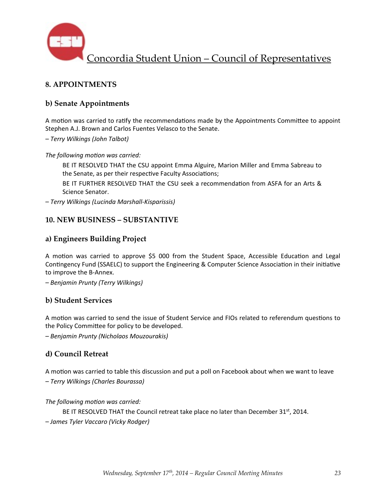

## **8. APPOINTMENTS**

## **b) Senate Appointments**

A motion was carried to ratify the recommendations made by the Appointments Committee to appoint Stephen A.J. Brown and Carlos Fuentes Velasco to the Senate.

*– Terry Wilkings (John Talbot)*

The following motion was carried:

BE IT RESOLVED THAT the CSU appoint Emma Alguire, Marion Miller and Emma Sabreau to the Senate, as per their respective Faculty Associations;

BE IT FURTHER RESOLVED THAT the CSU seek a recommendation from ASFA for an Arts & Science Senator.

*– Terry Wilkings (Lucinda Marshall-Kisparissis)*

### **10. NEW BUSINESS – SUBSTANTIVE**

### **a) Engineers Building Project**

A motion was carried to approve \$5 000 from the Student Space, Accessible Education and Legal Contingency Fund (SSAELC) to support the Engineering & Computer Science Association in their initiative to improve the B-Annex.

*– Benjamin Prunty (Terry Wilkings)*

### **b) Student Services**

A motion was carried to send the issue of Student Service and FIOs related to referendum questions to the Policy Committee for policy to be developed.

*– Benjamin Prunty (Nicholaos Mouzourakis)*

### **d) Council Retreat**

A motion was carried to table this discussion and put a poll on Facebook about when we want to leave *– Terry Wilkings (Charles Bourassa)*

### The following motion was carried:

BE IT RESOLVED THAT the Council retreat take place no later than December 31st, 2014. *– James Tyler Vaccaro (Vicky Rodger)*